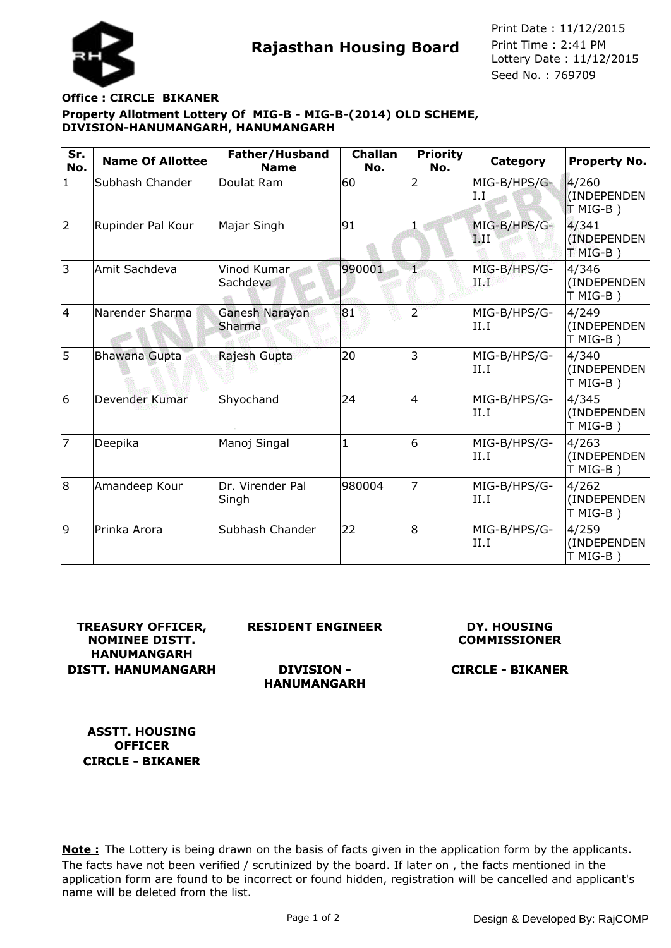

**Rajasthan Housing Board** Print Time : 2:41 PM<br>Lottery Date : 11/12/2015 Seed No. : 769709 Print Date : 11/12/2015 Print Time : 2:41 PM

# **Property Allotment Lottery Of MIG-B - MIG-B-(2014) OLD SCHEME, DIVISION-HANUMANGARH, HANUMANGARH Office : CIRCLE BIKANER**

| Sr.<br>No.   | <b>Name Of Allottee</b> | Father/Husband<br><b>Name</b> | <b>Challan</b><br>No. | <b>Priority</b><br>No. | Category             | Property No.                     |
|--------------|-------------------------|-------------------------------|-----------------------|------------------------|----------------------|----------------------------------|
| $\mathbf{1}$ | Subhash Chander         | Doulat Ram                    | 60                    | 2                      | MIG-B/HPS/G-<br>I.I  | 4/260<br>(INDEPENDEN<br>T MIG-B) |
| 2            | Rupinder Pal Kour       | Majar Singh                   | 91                    | 1                      | MIG-B/HPS/G-<br>TЛI  | 4/341<br>(INDEPENDEN<br>$TMG-B)$ |
| 3            | Amit Sachdeva           | Vinod Kumar.<br>Sachdeva      | 990001                | Ч,                     | MIG-B/HPS/G-<br>IЫ   | 4/346<br>(INDEPENDEN<br>T MIG-B) |
| 4            | Narender Sharma         | Ganesh Narayan<br>Sharma      | 81                    | $\overline{2}$         | MIG-B/HPS/G-<br>II.I | 4/249<br>(INDEPENDEN<br>T MIG-B) |
| 5            | Bhawana Gupta           | Rajesh Gupta                  | 20                    | 3                      | MIG-B/HPS/G-<br>II.I | 4/340<br>(INDEPENDEN<br>T MIG-B) |
| 6            | Devender Kumar          | Shyochand                     | 24                    | $\overline{4}$         | MIG-B/HPS/G-<br>II.I | 4/345<br>(INDEPENDEN<br>T MIG-B) |
| 17           | Deepika                 | Manoj Singal                  | $\overline{1}$        | 6                      | MIG-B/HPS/G-<br>II.I | 4/263<br>(INDEPENDEN<br>T MIG-B) |
| 8            | Amandeep Kour           | Dr. Virender Pal<br>Singh     | 980004                | 7                      | MIG-B/HPS/G-<br>II.I | 4/262<br>(INDEPENDEN<br>T MIG-B) |
| 9            | Prinka Arora            | Subhash Chander               | 22                    | 8                      | MIG-B/HPS/G-<br>II.I | 4/259<br>(INDEPENDEN<br>T MIG-B) |

**TREASURY OFFICER, NOMINEE DISTT. HANUMANGARH DISTT. HANUMANGARH** **RESIDENT ENGINEER**

## **DY. HOUSING COMMISSIONER**

**DIVISION - HANUMANGARH**

**CIRCLE - BIKANER**

**ASSTT. HOUSING OFFICER CIRCLE - BIKANER**

The facts have not been verified / scrutinized by the board. If later on , the facts mentioned in the application form are found to be incorrect or found hidden, registration will be cancelled and applicant's name will be deleted from the list. **Note :** The Lottery is being drawn on the basis of facts given in the application form by the applicants.